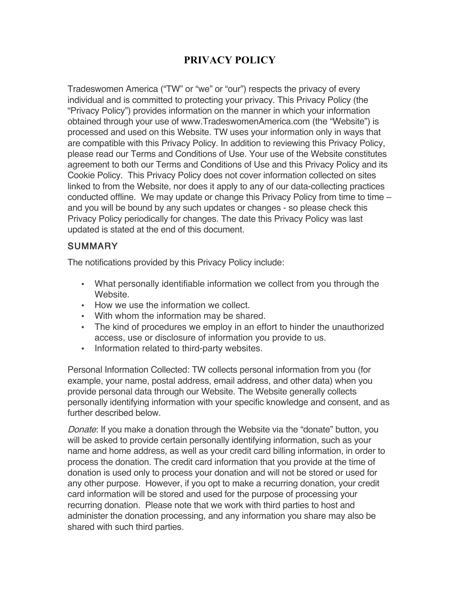## **PRIVACY POLICY**

Tradeswomen America ("TW" or "we" or "our") respects the privacy of every individual and is committed to protecting your privacy. This Privacy Policy (the "Privacy Policy") provides information on the manner in which your information obtained through your use of www.TradeswomenAmerica.com (the "Website") is processed and used on this Website. TW uses your information only in ways that are compatible with this Privacy Policy. In addition to reviewing this Privacy Policy, please read our Terms and Conditions of Use. Your use of the Website constitutes agreement to both our Terms and Conditions of Use and this Privacy Policy and its Cookie Policy. This Privacy Policy does not cover information collected on sites linked to from the Website, nor does it apply to any of our data-collecting practices conducted offline. We may update or change this Privacy Policy from time to time  $$ and you will be bound by any such updates or changes - so please check this Privacy Policy periodically for changes. The date this Privacy Policy was last updated is stated at the end of this document.

#### **SUMMARY**

The notifications provided by this Privacy Policy include:

- What personally identifiable information we collect from you through the Website.
- How we use the information we collect.
- With whom the information may be shared.
- The kind of procedures we employ in an effort to hinder the unauthorized access, use or disclosure of information you provide to us.
- Information related to third-party websites.

Personal Information Collected: TW collects personal information from you (for example, your name, postal address, email address, and other data) when you provide personal data through our Website. The Website generally collects personally identifying information with your specific knowledge and consent, and as further described below.

Donate: If you make a donation through the Website via the "donate" button, you will be asked to provide certain personally identifying information, such as your name and home address, as well as your credit card billing information, in order to process the donation. The credit card information that you provide at the time of donation is used only to process your donation and will not be stored or used for any other purpose. However, if you opt to make a recurring donation, your credit card information will be stored and used for the purpose of processing your recurring donation. Please note that we work with third parties to host and administer the donation processing, and any information you share may also be shared with such third parties.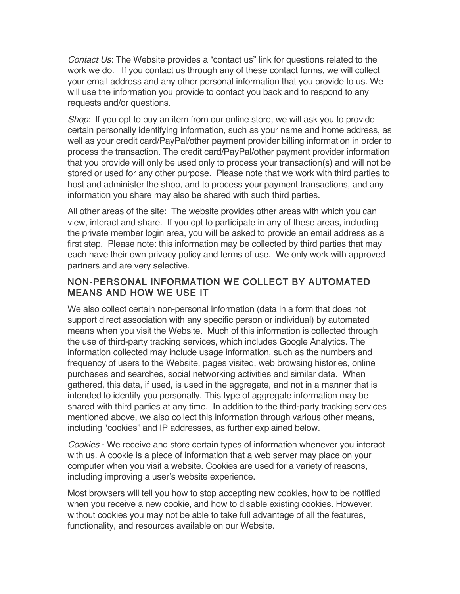Contact Us: The Website provides a "contact us" link for questions related to the work we do. If you contact us through any of these contact forms, we will collect your email address and any other personal information that you provide to us. We will use the information you provide to contact you back and to respond to any requests and/or questions.

Shop: If you opt to buy an item from our online store, we will ask you to provide certain personally identifying information, such as your name and home address, as well as your credit card/PayPal/other payment provider billing information in order to process the transaction. The credit card/PayPal/other payment provider information that you provide will only be used only to process your transaction(s) and will not be stored or used for any other purpose. Please note that we work with third parties to host and administer the shop, and to process your payment transactions, and any information you share may also be shared with such third parties.

All other areas of the site: The website provides other areas with which you can view, interact and share. If you opt to participate in any of these areas, including the private member login area, you will be asked to provide an email address as a first step. Please note: this information may be collected by third parties that may each have their own privacy policy and terms of use. We only work with approved partners and are very selective.

#### NON-PERSONAL INFORMATION WE COLLECT BY AUTOMATED MEANS AND HOW WE USE IT

We also collect certain non-personal information (data in a form that does not support direct association with any specific person or individual) by automated means when you visit the Website. Much of this information is collected through the use of third-party tracking services, which includes Google Analytics. The information collected may include usage information, such as the numbers and frequency of users to the Website, pages visited, web browsing histories, online purchases and searches, social networking activities and similar data. When gathered, this data, if used, is used in the aggregate, and not in a manner that is intended to identify you personally. This type of aggregate information may be shared with third parties at any time. In addition to the third-party tracking services mentioned above, we also collect this information through various other means, including "cookies" and IP addresses, as further explained below.

Cookies - We receive and store certain types of information whenever you interact with us. A cookie is a piece of information that a web server may place on your computer when you visit a website. Cookies are used for a variety of reasons, including improving a user's website experience.

Most browsers will tell you how to stop accepting new cookies, how to be notified when you receive a new cookie, and how to disable existing cookies. However, without cookies you may not be able to take full advantage of all the features, functionality, and resources available on our Website.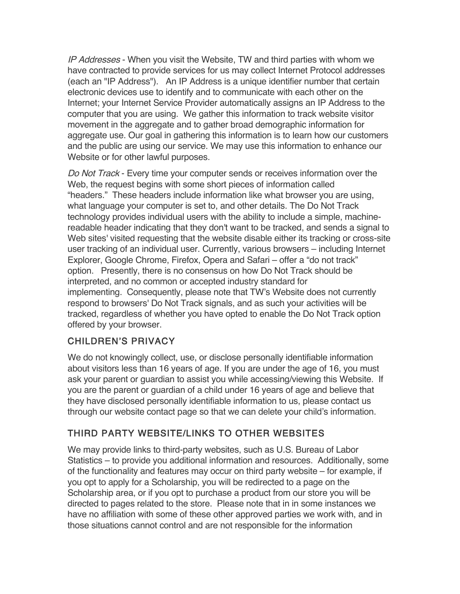IP Addresses - When you visit the Website, TW and third parties with whom we have contracted to provide services for us may collect Internet Protocol addresses (each an "IP Address"). An IP Address is a unique identifier number that certain electronic devices use to identify and to communicate with each other on the Internet; your Internet Service Provider automatically assigns an IP Address to the computer that you are using. We gather this information to track website visitor movement in the aggregate and to gather broad demographic information for aggregate use. Our goal in gathering this information is to learn how our customers and the public are using our service. We may use this information to enhance our Website or for other lawful purposes.

Do Not Track - Every time your computer sends or receives information over the Web, the request begins with some short pieces of information called "headers." These headers include information like what browser you are using, what language your computer is set to, and other details. The Do Not Track technology provides individual users with the ability to include a simple, machinereadable header indicating that they don't want to be tracked, and sends a signal to Web sites' visited requesting that the website disable either its tracking or cross-site user tracking of an individual user. Currently, various browsers – including Internet Explorer, Google Chrome, Firefox, Opera and Safari – offer a "do not track" option. Presently, there is no consensus on how Do Not Track should be interpreted, and no common or accepted industry standard for implementing. Consequently, please note that TW's Website does not currently respond to browsers' Do Not Track signals, and as such your activities will be tracked, regardless of whether you have opted to enable the Do Not Track option offered by your browser.

## CHILDREN'S PRIVACY

We do not knowingly collect, use, or disclose personally identifiable information about visitors less than 16 years of age. If you are under the age of 16, you must ask your parent or guardian to assist you while accessing/viewing this Website. If you are the parent or guardian of a child under 16 years of age and believe that they have disclosed personally identifiable information to us, please contact us through our website contact page so that we can delete your child's information.

#### THIRD PARTY WEBSITE/LINKS TO OTHER WEBSITES

We may provide links to third-party websites, such as U.S. Bureau of Labor Statistics – to provide you additional information and resources. Additionally, some of the functionality and features may occur on third party website – for example, if you opt to apply for a Scholarship, you will be redirected to a page on the Scholarship area, or if you opt to purchase a product from our store you will be directed to pages related to the store. Please note that in in some instances we have no affiliation with some of these other approved parties we work with, and in those situations cannot control and are not responsible for the information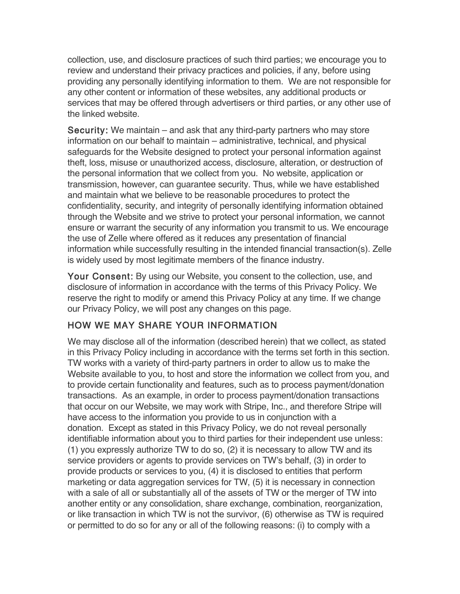collection, use, and disclosure practices of such third parties; we encourage you to review and understand their privacy practices and policies, if any, before using providing any personally identifying information to them. We are not responsible for any other content or information of these websites, any additional products or services that may be offered through advertisers or third parties, or any other use of the linked website.

Security: We maintain – and ask that any third-party partners who may store information on our behalf to maintain – administrative, technical, and physical safeguards for the Website designed to protect your personal information against theft, loss, misuse or unauthorized access, disclosure, alteration, or destruction of the personal information that we collect from you. No website, application or transmission, however, can guarantee security. Thus, while we have established and maintain what we believe to be reasonable procedures to protect the confidentiality, security, and integrity of personally identifying information obtained through the Website and we strive to protect your personal information, we cannot ensure or warrant the security of any information you transmit to us. We encourage the use of Zelle where offered as it reduces any presentation of financial information while successfully resulting in the intended financial transaction(s). Zelle is widely used by most legitimate members of the finance industry.

Your Consent: By using our Website, you consent to the collection, use, and disclosure of information in accordance with the terms of this Privacy Policy. We reserve the right to modify or amend this Privacy Policy at any time. If we change our Privacy Policy, we will post any changes on this page.

## HOW WE MAY SHARE YOUR INFORMATION

We may disclose all of the information (described herein) that we collect, as stated in this Privacy Policy including in accordance with the terms set forth in this section. TW works with a variety of third-party partners in order to allow us to make the Website available to you, to host and store the information we collect from you, and to provide certain functionality and features, such as to process payment/donation transactions. As an example, in order to process payment/donation transactions that occur on our Website, we may work with Stripe, Inc., and therefore Stripe will have access to the information you provide to us in conjunction with a donation. Except as stated in this Privacy Policy, we do not reveal personally identifiable information about you to third parties for their independent use unless: (1) you expressly authorize TW to do so, (2) it is necessary to allow TW and its service providers or agents to provide services on TW's behalf, (3) in order to provide products or services to you, (4) it is disclosed to entities that perform marketing or data aggregation services for TW, (5) it is necessary in connection with a sale of all or substantially all of the assets of TW or the merger of TW into another entity or any consolidation, share exchange, combination, reorganization, or like transaction in which TW is not the survivor, (6) otherwise as TW is required or permitted to do so for any or all of the following reasons: (i) to comply with a